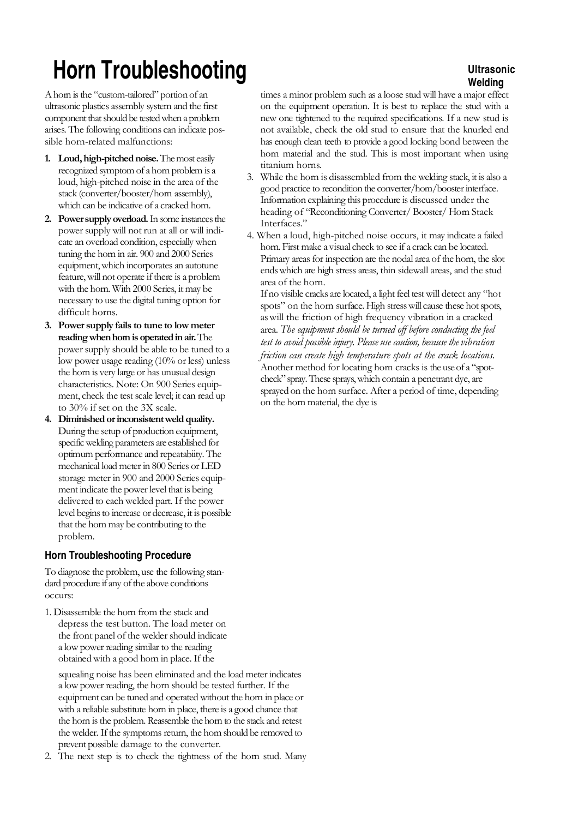## **Horn Troubleshooting Property**

A horn is the "custom-tailored" portion of an ultrasonic plastics assembly system and the first component that should be tested when a problem arises. The following conditions can indicate possible horn-related malfunctions:

- 1. Loud, high-pitched noise. The most easily recognized symptom of a horn problem is a loud, high-pitched noise in the area of the stack (converter/booster/horn assembly), which can be indicative of a cracked horn.
- 2. Power supply overload. In some instances the power supply will not run at all or will indicate an overload condition, especially when tuning the horn in air. 900 and 2000 Series equipment, which incorporates an autotune feature, will not operate if there is a problem with the horn. With 2000 Series, it may be necessary to use the digital tuning option for difficult horns.
- 3. Power supply fails to tune to low meter reading when hom is operated in air. The power supply should be able to be tuned to a low power usage reading (10% or less) unless the horn is very large or has unusual design characteristics. Note: On 900 Series equipment, check the test scale level; it can read up to 30% if set on the 3X scale.
- 4. Diminished or inconsistent weld quality. During the setup of production equipment, specific welding parameters are established for optimum performance and repeatabiity. The mechanical load meter in 800 Series or LED storage meter in 900 and 2000 Series equipment indicate the power level that is being delivered to each welded part. If the power level begins to increase or decrease, it is possible that the horn may be contributing to the problem.

## **Horn Troubleshooting Procedure**

To diagnose the problem, use the following standard procedure if any of the above conditions occurs:

1. Disassemble the horn from the stack and depress the test button. The load meter on the front panel of the welder should indicate a low power reading similar to the reading obtained with a good horn in place. If the

squealing noise has been eliminated and the load meter indicates a low power reading, the horn should be tested further. If the equipment can be tuned and operated without the horn in place or with a reliable substitute horn in place, there is a good chance that the horn is the problem. Reassemble the horn to the stack and retest the welder. If the symptoms return, the horn should be removed to prevent possible damage to the converter.

2. The next step is to check the tightness of the horn stud. Many

## **Welding**

times a minor problem such as a loose stud will have a major effect on the equipment operation. It is best to replace the stud with a new one tightened to the required specifications. If a new stud is not available, check the old stud to ensure that the knurled end has enough clean teeth to provide a good locking bond between the horn material and the stud. This is most important when using titanium horns.

- 3. While the horn is disassembled from the welding stack, it is also a good practice to recondition the converter/horn/booster interface. Information explaining this procedure is discussed under the heading of "Reconditioning Converter/ Booster/ Horn Stack Interfaces."
- 4. When a loud, high-pitched noise occurs, it may indicate a failed horn. First make a visual check to see if a crack can be located. Primary areas for inspection are the nodal area of the horn, the slot ends which are high stress areas, thin sidewall areas, and the stud area of the horn.

If no visible cracks are located, a light feel test will detect any "hot spots" on the horn surface. High stress will cause these hot spots, as will the friction of high frequency vibration in a cracked area. The equipment should be turned off before conducting the feel test to avoid possible injury. Please use caution, because the vibration friction can create high temperature spots at the crack locations. Another method for locating horn cracks is the use of a "spotcheck" spray. These sprays, which contain a penetrant dye, are sprayed on the horn surface. After a period of time, depending on the horn material, the dye is